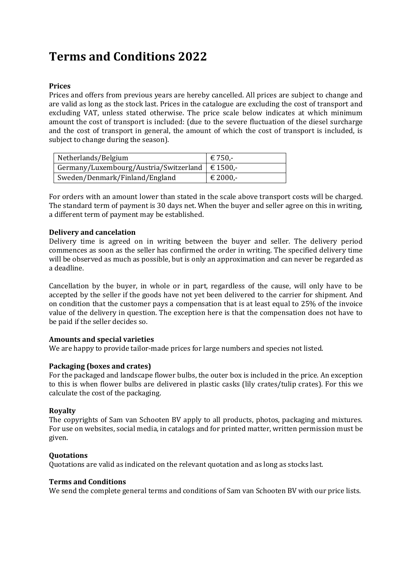# **Terms and Conditions 2022**

#### **Prices**

Prices and offers from previous years are hereby cancelled. All prices are subject to change and are valid as long as the stock last. Prices in the catalogue are excluding the cost of transport and excluding VAT, unless stated otherwise. The price scale below indicates at which minimum amount the cost of transport is included: (due to the severe fluctuation of the diesel surcharge and the cost of transport in general, the amount of which the cost of transport is included, is subject to change during the season).

| Netherlands/Belgium                                 | € 750.-  |
|-----------------------------------------------------|----------|
| Germany/Luxembourg/Austria/Switzerland $\in$ 1500,- |          |
| Sweden/Denmark/Finland/England                      | € 2000,- |

For orders with an amount lower than stated in the scale above transport costs will be charged. The standard term of payment is 30 days net. When the buyer and seller agree on this in writing, a different term of payment may be established.

#### **Delivery and cancelation**

Delivery time is agreed on in writing between the buyer and seller. The delivery period commences as soon as the seller has confirmed the order in writing. The specified delivery time will be observed as much as possible, but is only an approximation and can never be regarded as a deadline.

Cancellation by the buyer, in whole or in part, regardless of the cause, will only have to be accepted by the seller if the goods have not yet been delivered to the carrier for shipment. And on condition that the customer pays a compensation that is at least equal to 25% of the invoice value of the delivery in question. The exception here is that the compensation does not have to be paid if the seller decides so.

#### **Amounts and special varieties**

We are happy to provide tailor-made prices for large numbers and species not listed.

#### **Packaging (boxes and crates)**

For the packaged and landscape flower bulbs, the outer box is included in the price. An exception to this is when flower bulbs are delivered in plastic casks (lily crates/tulip crates). For this we calculate the cost of the packaging.

#### **Royalty**

The copyrights of Sam van Schooten BV apply to all products, photos, packaging and mixtures. For use on websites, social media, in catalogs and for printed matter, written permission must be given.

#### **Quotations**

Quotations are valid as indicated on the relevant quotation and as long as stocks last.

#### **Terms and Conditions**

We send the complete general terms and conditions of Sam van Schooten BV with our price lists.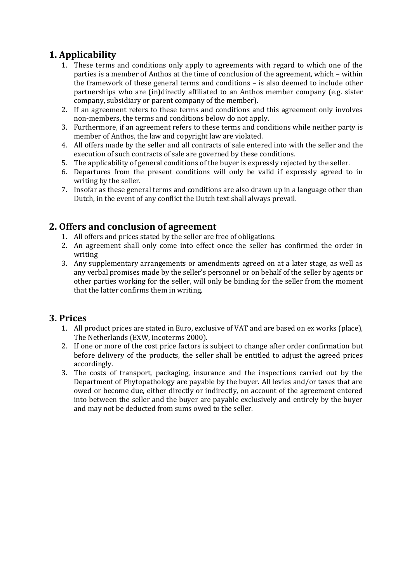# **1. Applicability**

- 1. These terms and conditions only apply to agreements with regard to which one of the parties is a member of Anthos at the time of conclusion of the agreement, which – within the framework of these general terms and conditions – is also deemed to include other partnerships who are (in)directly affiliated to an Anthos member company (e.g. sister company, subsidiary or parent company of the member).
- 2. If an agreement refers to these terms and conditions and this agreement only involves non-members, the terms and conditions below do not apply.
- 3. Furthermore, if an agreement refers to these terms and conditions while neither party is member of Anthos, the law and copyright law are violated.
- 4. All offers made by the seller and all contracts of sale entered into with the seller and the execution of such contracts of sale are governed by these conditions.
- 5. The applicability of general conditions of the buyer is expressly rejected by the seller.
- 6. Departures from the present conditions will only be valid if expressly agreed to in writing by the seller.
- 7. Insofar as these general terms and conditions are also drawn up in a language other than Dutch, in the event of any conflict the Dutch text shall always prevail.

## **2. Offers and conclusion of agreement**

- 1. All offers and prices stated by the seller are free of obligations.
- 2. An agreement shall only come into effect once the seller has confirmed the order in writing
- 3. Any supplementary arrangements or amendments agreed on at a later stage, as well as any verbal promises made by the seller's personnel or on behalf of the seller by agents or other parties working for the seller, will only be binding for the seller from the moment that the latter confirms them in writing.

#### **3. Prices**

- 1. All product prices are stated in Euro, exclusive of VAT and are based on ex works (place), The Netherlands (EXW, Incoterms 2000).
- 2. If one or more of the cost price factors is subject to change after order confirmation but before delivery of the products, the seller shall be entitled to adjust the agreed prices accordingly.
- 3. The costs of transport, packaging, insurance and the inspections carried out by the Department of Phytopathology are payable by the buyer. All levies and/or taxes that are owed or become due, either directly or indirectly, on account of the agreement entered into between the seller and the buyer are payable exclusively and entirely by the buyer and may not be deducted from sums owed to the seller.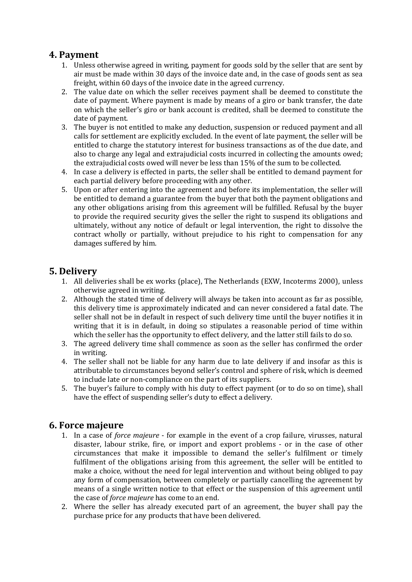### **4. Payment**

- 1. Unless otherwise agreed in writing, payment for goods sold by the seller that are sent by air must be made within 30 days of the invoice date and, in the case of goods sent as sea freight, within 60 days of the invoice date in the agreed currency.
- 2. The value date on which the seller receives payment shall be deemed to constitute the date of payment. Where payment is made by means of a giro or bank transfer, the date on which the seller's giro or bank account is credited, shall be deemed to constitute the date of payment.
- 3. The buyer is not entitled to make any deduction, suspension or reduced payment and all calls for settlement are explicitly excluded. In the event of late payment, the seller will be entitled to charge the statutory interest for business transactions as of the due date, and also to charge any legal and extrajudicial costs incurred in collecting the amounts owed; the extrajudicial costs owed will never be less than 15% of the sum to be collected.
- 4. In case a delivery is effected in parts, the seller shall be entitled to demand payment for each partial delivery before proceeding with any other.
- 5. Upon or after entering into the agreement and before its implementation, the seller will be entitled to demand a guarantee from the buyer that both the payment obligations and any other obligations arising from this agreement will be fulfilled. Refusal by the buyer to provide the required security gives the seller the right to suspend its obligations and ultimately, without any notice of default or legal intervention, the right to dissolve the contract wholly or partially, without prejudice to his right to compensation for any damages suffered by him.

### **5. Delivery**

- 1. All deliveries shall be ex works (place), The Netherlands (EXW, Incoterms 2000), unless otherwise agreed in writing.
- 2. Although the stated time of delivery will always be taken into account as far as possible, this delivery time is approximately indicated and can never considered a fatal date. The seller shall not be in default in respect of such delivery time until the buyer notifies it in writing that it is in default, in doing so stipulates a reasonable period of time within which the seller has the opportunity to effect delivery, and the latter still fails to do so.
- 3. The agreed delivery time shall commence as soon as the seller has confirmed the order in writing.
- 4. The seller shall not be liable for any harm due to late delivery if and insofar as this is attributable to circumstances beyond seller's control and sphere of risk, which is deemed to include late or non-compliance on the part of its suppliers.
- 5. The buyer's failure to comply with his duty to effect payment (or to do so on time), shall have the effect of suspending seller's duty to effect a delivery.

### **6. Force majeure**

- 1. In a case of *force majeure*  for example in the event of a crop failure, virusses, natural disaster, labour strike, fire, or import and export problems - or in the case of other circumstances that make it impossible to demand the seller's fulfilment or timely fulfilment of the obligations arising from this agreement, the seller will be entitled to make a choice, without the need for legal intervention and without being obliged to pay any form of compensation, between completely or partially cancelling the agreement by means of a single written notice to that effect or the suspension of this agreement until the case of *force majeure* has come to an end.
- 2. Where the seller has already executed part of an agreement, the buyer shall pay the purchase price for any products that have been delivered.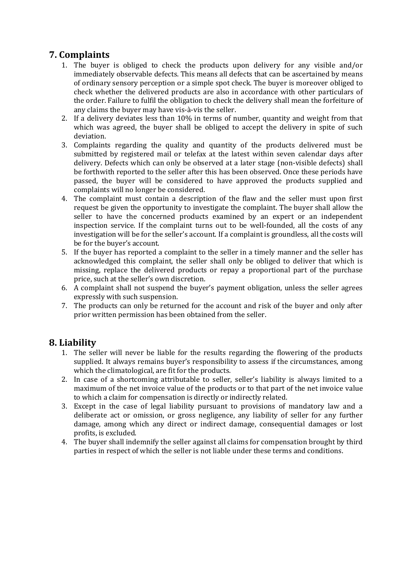# **7. Complaints**

- 1. The buyer is obliged to check the products upon delivery for any visible and/or immediately observable defects. This means all defects that can be ascertained by means of ordinary sensory perception or a simple spot check. The buyer is moreover obliged to check whether the delivered products are also in accordance with other particulars of the order. Failure to fulfil the obligation to check the delivery shall mean the forfeiture of any claims the buyer may have vis-à-vis the seller.
- 2. If a delivery deviates less than 10% in terms of number, quantity and weight from that which was agreed, the buyer shall be obliged to accept the delivery in spite of such deviation.
- 3. Complaints regarding the quality and quantity of the products delivered must be submitted by registered mail or telefax at the latest within seven calendar days after delivery. Defects which can only be observed at a later stage (non-visible defects) shall be forthwith reported to the seller after this has been observed. Once these periods have passed, the buyer will be considered to have approved the products supplied and complaints will no longer be considered.
- 4. The complaint must contain a description of the flaw and the seller must upon first request be given the opportunity to investigate the complaint. The buyer shall allow the seller to have the concerned products examined by an expert or an independent inspection service. If the complaint turns out to be well-founded, all the costs of any investigation will be for the seller's account. If a complaint is groundless, all the costs will be for the buyer's account.
- 5. If the buyer has reported a complaint to the seller in a timely manner and the seller has acknowledged this complaint, the seller shall only be obliged to deliver that which is missing, replace the delivered products or repay a proportional part of the purchase price, such at the seller's own discretion.
- 6. A complaint shall not suspend the buyer's payment obligation, unless the seller agrees expressly with such suspension.
- 7. The products can only be returned for the account and risk of the buyer and only after prior written permission has been obtained from the seller.

### **8. Liability**

- 1. The seller will never be liable for the results regarding the flowering of the products supplied. It always remains buyer's responsibility to assess if the circumstances, among which the climatological, are fit for the products.
- 2. In case of a shortcoming attributable to seller, seller's liability is always limited to a maximum of the net invoice value of the products or to that part of the net invoice value to which a claim for compensation is directly or indirectly related.
- 3. Except in the case of legal liability pursuant to provisions of mandatory law and a deliberate act or omission, or gross negligence, any liability of seller for any further damage, among which any direct or indirect damage, consequential damages or lost profits, is excluded.
- 4. The buyer shall indemnify the seller against all claims for compensation brought by third parties in respect of which the seller is not liable under these terms and conditions.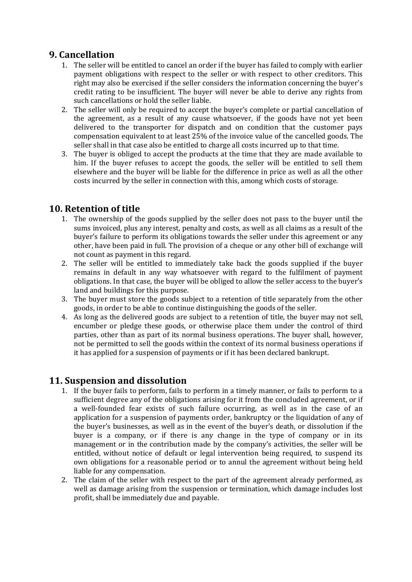### **9. Cancellation**

- 1. The seller will be entitled to cancel an order if the buyer has failed to comply with earlier payment obligations with respect to the seller or with respect to other creditors. This right may also be exercised if the seller considers the information concerning the buyer's credit rating to be insufficient. The buyer will never be able to derive any rights from such cancellations or hold the seller liable.
- 2. The seller will only be required to accept the buyer's complete or partial cancellation of the agreement, as a result of any cause whatsoever, if the goods have not yet been delivered to the transporter for dispatch and on condition that the customer pays compensation equivalent to at least 25% of the invoice value of the cancelled goods. The seller shall in that case also be entitled to charge all costs incurred up to that time.
- 3. The buyer is obliged to accept the products at the time that they are made available to him. If the buyer refuses to accept the goods, the seller will be entitled to sell them elsewhere and the buyer will be liable for the difference in price as well as all the other costs incurred by the seller in connection with this, among which costs of storage.

### **10. Retention of title**

- 1. The ownership of the goods supplied by the seller does not pass to the buyer until the sums invoiced, plus any interest, penalty and costs, as well as all claims as a result of the buyer's failure to perform its obligations towards the seller under this agreement or any other, have been paid in full. The provision of a cheque or any other bill of exchange will not count as payment in this regard.
- 2. The seller will be entitled to immediately take back the goods supplied if the buyer remains in default in any way whatsoever with regard to the fulfilment of payment obligations. In that case, the buyer will be obliged to allow the seller access to the buyer's land and buildings for this purpose.
- 3. The buyer must store the goods subject to a retention of title separately from the other goods, in order to be able to continue distinguishing the goods of the seller.
- 4. As long as the delivered goods are subject to a retention of title, the buyer may not sell, encumber or pledge these goods, or otherwise place them under the control of third parties, other than as part of its normal business operations. The buyer shall, however, not be permitted to sell the goods within the context of its normal business operations if it has applied for a suspension of payments or if it has been declared bankrupt.

### **11. Suspension and dissolution**

- 1. If the buyer fails to perform, fails to perform in a timely manner, or fails to perform to a sufficient degree any of the obligations arising for it from the concluded agreement, or if a well-founded fear exists of such failure occurring, as well as in the case of an application for a suspension of payments order, bankruptcy or the liquidation of any of the buyer's businesses, as well as in the event of the buyer's death, or dissolution if the buyer is a company, or if there is any change in the type of company or in its management or in the contribution made by the company's activities, the seller will be entitled, without notice of default or legal intervention being required, to suspend its own obligations for a reasonable period or to annul the agreement without being held liable for any compensation.
- 2. The claim of the seller with respect to the part of the agreement already performed, as well as damage arising from the suspension or termination, which damage includes lost profit, shall be immediately due and payable.